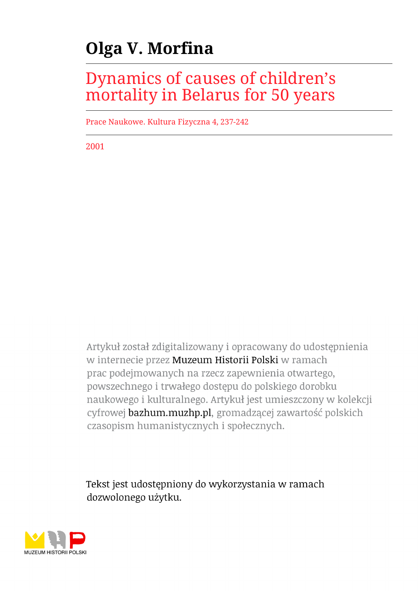## **Olga V. Morfina**

## Dynamics of causes of children's mortality in Belarus for 50 years

Prace Naukowe. Kultura Fizyczna 4, 237-242

2001

Artykuł został zdigitalizowany i opracowany do udostępnienia w internecie przez Muzeum Historii Polski w ramach prac podejmowanych na rzecz zapewnienia otwartego, powszechnego i trwałego dostępu do polskiego dorobku naukowego i kulturalnego. Artykuł jest umieszczony w kolekcji cyfrowej bazhum.muzhp.pl, gromadzącej zawartość polskich czasopism humanistycznych i społecznych.

Tekst jest udostępniony do wykorzystania w ramach dozwolonego użytku.

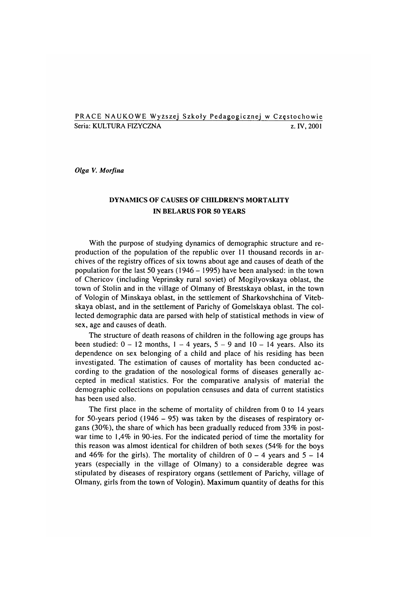## PRACE NAUKOWE Wyższej Szkoły Pedagogicznej w Częstochowie Seria: KULTURA FIZYCZNA za zastawa za zastawa za zastawa za zastawa za zastawa za zastawa za zastawa za zastaw

*Olga V. Morfina*

## DYNAMICS OF CAUSES OF CHILDREN'S MORTALITY IN BELARUS FOR 50 YEARS

With the purpose of studying dynamics of demographic structure and reproduction of the population of the republic over 11 thousand records in archives of the registry offices of six towns about age and causes of death of the population for the last 50 years (1946 - 1995) have been analysed: in the town of Chericov (including Veprinsky rural soviet) of Mogilyovskaya oblast, the town of Stolin and in the village of Olmany of Brestskaya oblast, in the town of Vologin of Minskaya oblast, in the settlement of Sharkovshchina of Vitebskaya oblast, and in the settlement of Parichy of Gomelskaya oblast. The collected dem ographic data are parsed with help of statistical methods in view of sex, age and causes of death.

The structure of death reasons of children in the following age groups has been studied:  $0 - 12$  months,  $1 - 4$  years,  $5 - 9$  and  $10 - 14$  years. Also its dependence on sex belonging of a child and place of his residing has been investigated. The estimation of causes of mortality has been conducted according to the gradation of the nosological forms of diseases generally accepted in medical statistics. For the comparative analysis of material the dem ographic collections on population censuses and data of current statistics has been used also.

The first place in the scheme of mortality of children from  $0$  to 14 years for 50-years period (1946 - 95) was taken by the diseases of respiratory organs (30%), the share of which has been gradually reduced from  $33\%$  in postwar time to 1,4% in 90-ies. For the indicated period of time the mortality for this reason was almost identical for children of both sexes (54% for the boys and 46% for the girls). The mortality of children of  $0 - 4$  years and  $5 - 14$ years (especially in the village of Olmany) to a considerable degree was stipulated by diseases of respiratory organs (settlement of Parichy, village of Olmany, girls from the town of Vologin). M aximum quantity of deaths for this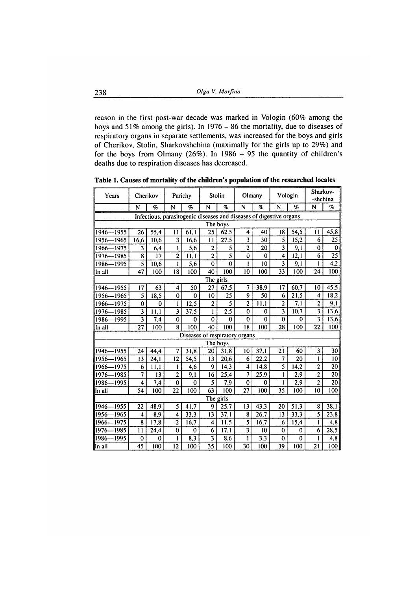reason in the first post-war decade was marked in Vologin (60% among the boys and 51% among the girls). In 1976 - 86 the mortality, due to diseases of respiratory organs in separate settlements, was increased for the boys and girls of Cherikov, Stolin, Sharkovshchina (maximally for the girls up to 29%) and for the boys from Olmany (26%). In  $1986 - 95$  the quantity of children's deaths due to respiration diseases has decreased.

| Cherikov<br>Years                                                   |                         | Parichy           |                         | Stolin             |                         | Olmany                  |                         | Vologin         |                         | Sharkov-<br>-shchina |                         |                  |
|---------------------------------------------------------------------|-------------------------|-------------------|-------------------------|--------------------|-------------------------|-------------------------|-------------------------|-----------------|-------------------------|----------------------|-------------------------|------------------|
|                                                                     | N                       | $\mathcal{D}_{0}$ | N                       | $\%$               | N                       | $\mathcal{G}_0$         | N                       | $\%$            | N                       | oj,                  | N                       | %                |
| Infectious, parasitogenic diseases and diseases of digestive organs |                         |                   |                         |                    |                         |                         |                         |                 |                         |                      |                         |                  |
| The boys                                                            |                         |                   |                         |                    |                         |                         |                         |                 |                         |                      |                         |                  |
| 1946-1955                                                           | 26                      | 55,4              | $\mathbf{11}$           | 61,1               | $\overline{25}$         | 62,5                    | $\overline{\mathbf{4}}$ | 40              | 18                      | 54,5                 | 11                      | 45,8             |
| 1956-1965                                                           | 16,6                    | 10,6              | 3                       | 16,6               | 11                      | 27,5                    | $\overline{\mathbf{3}}$ | 30              | 5                       | 15,2                 | 6                       | 25               |
| 1966-<br>-1975                                                      | 3                       | 6,4               | l                       | 5,6                | $\overline{\mathbf{c}}$ | 5                       | $\mathbf{2}$            | 20              | 3                       | 9,1                  | $\mathbf{0}$            | $\bf{0}$         |
| -1985<br>1976-                                                      | 8                       | 17                | $\overline{2}$          | 11,1               | $\overline{\mathbf{c}}$ |                         | 0                       | $\Omega$        | $\overline{\mathbf{4}}$ | 12,1                 | 6                       | $\overline{25}$  |
| -1995<br>1986-                                                      | 5                       | 10,6              | 1                       | 5,6                | $\mathbf{0}$            | $\bf{0}$                | 1                       | 10              | $\overline{\mathbf{3}}$ | 9,1                  | ı                       | $\overline{4,2}$ |
| In all                                                              | 47                      | 100               | 18                      | 100                | 40                      | 100                     | 10                      | 100             | 33                      | 100                  | 24                      | 100              |
| The girls                                                           |                         |                   |                         |                    |                         |                         |                         |                 |                         |                      |                         |                  |
| 1946––1955                                                          | 17                      | 63                | 4                       | 50                 | 27                      | 67,5                    | $\overline{7}$          | 38,9            | 17                      | 60,7                 | 10                      | 45,5             |
| 1956—1965                                                           | 5                       | 18,5              | $\bf{0}$                | $\bf{0}$           | 10                      | 25                      | 9                       | $\overline{50}$ | 6                       | 21,5                 | 4                       | 18,2             |
| 1966-1975                                                           | $\bf{0}$                | $\theta$          | 1                       | 12,5               | $\overline{\mathbf{c}}$ | $\overline{\mathbf{5}}$ | $\overline{2}$          | 11,1            | $\overline{2}$          | 7,1                  | 2                       | 9,1              |
| -1985<br>1976-                                                      | 3                       | 11,1              | 3                       | 37,5               | l                       | 2,5                     | 0                       | $\bf{0}$        | 3                       | 10,7                 | 3                       | 13,6             |
| 1986<br>-1995                                                       | 3                       | 7,4               | $\bf{0}$                | $\bf{0}$           | $\mathbf 0$             | 0                       | $\mathbf 0$             | $\mathbf 0$     | $\bf{0}$                | $\bf{0}$             | 3                       | 13,6             |
| In all                                                              | 27                      | 100               | 8                       | 100                | 40                      | 100                     | 18                      | 100             | 28                      | 100                  | 22                      | 100              |
| Diseases of respiratory organs                                      |                         |                   |                         |                    |                         |                         |                         |                 |                         |                      |                         |                  |
|                                                                     |                         |                   |                         |                    |                         | The boys                |                         |                 |                         |                      |                         |                  |
| 1946—1955                                                           | 24                      | 44,4              |                         | $\overline{31}$ ,8 | $\overline{20}$         | 31,8                    | 10                      | 37,1            | $\overline{21}$         | 60                   | $\overline{\mathbf{3}}$ | $\overline{30}$  |
| 1956-1965                                                           | 13                      | 24,1              | 12                      | 54,5               | 13                      | 20,6                    | 6                       | 22,2            | 7                       | 20                   | ı                       | 10               |
| 1966-1975                                                           | 6                       | 11,1              | 1                       | 4,6                | 9                       | 14,3                    | 4                       | 14,8            |                         | 14,2                 | $\overline{\mathbf{c}}$ | $\overline{20}$  |
| 1976-1985                                                           | 7                       | 13                | $\overline{2}$          | 9,1                | 16                      | 25,4                    | 7                       | 25,9            | 1                       | 2,9                  | $\overline{\mathbf{c}}$ | $\overline{20}$  |
| -1995<br>1986-                                                      | 4                       | 7,4               | $\mathbf{0}$            | $\mathbf{0}$       | 5                       | 7,9                     | $\bf{0}$                | 0               | 1                       | 2,9                  | $\overline{\mathbf{c}}$ | $\overline{20}$  |
| lin all                                                             | 54                      | 100               | 22                      | 100                | 63                      | 100                     | 27                      | 100             | 35                      | 100                  | 10                      | 100              |
| The girls                                                           |                         |                   |                         |                    |                         |                         |                         |                 |                         |                      |                         |                  |
| 1946–1955                                                           | 22                      | 48,9              | 5                       | 41,7               | 9                       | 25,7                    | 13                      | 43,3            | 20                      | 51,3                 | 8                       | 38,1             |
| 11956–<br>$-1965$                                                   | $\overline{\mathbf{4}}$ | 8,9               | $\overline{\mathbf{4}}$ | 33,3               | 13                      | 37,1                    | 8                       | 26,7            | 13                      | 33,3                 | 5                       | 23,8             |
| 1966-1975                                                           | 8                       | 17,8              | $\overline{2}$          | 16,7               | 4                       | 11,5                    | $\overline{\mathbf{5}}$ | 16,7            | 6                       | 15,4                 | T                       | 4,8              |
| -1985<br>1976-                                                      | $\overline{11}$         | 24,4              | $\bf{0}$                | $\mathbf 0$        | 6                       | 17,1                    | $\overline{\mathbf{3}}$ | 10              | $\bf{0}$                | 0                    | 6                       | 28,5             |
| 1986-1995                                                           | $\bf{0}$                | $\bf{0}$          | 1                       | 8,3                | 3                       | 8,6                     | 1                       | 3,3             | $\bf{0}$                | $\bf{0}$             |                         | 4,8              |
| In all                                                              | $\overline{45}$         | 100               | $\overline{12}$         | 100                | $\overline{35}$         | 100                     | 30                      | 100             | 39                      | 100                  | 21                      | 100              |

**Table 1. Causes of mortality of the children's population of the researched locales**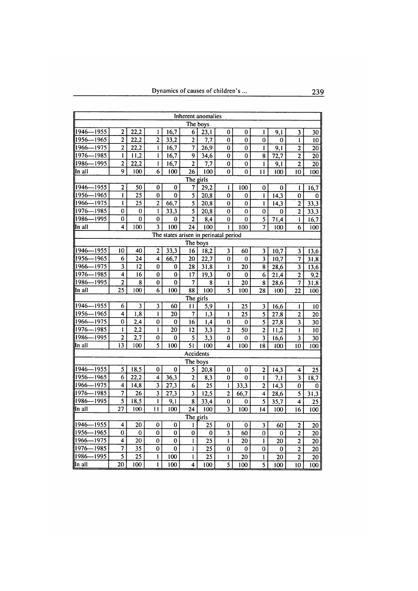| Inherent anomalies                    |         |                         |                   |                         |                  |                         |                  |                         |                 |                         |                  |                         |                 |
|---------------------------------------|---------|-------------------------|-------------------|-------------------------|------------------|-------------------------|------------------|-------------------------|-----------------|-------------------------|------------------|-------------------------|-----------------|
| The boys                              |         |                         |                   |                         |                  |                         |                  |                         |                 |                         |                  |                         |                 |
| 1946-                                 | 1955    | $\overline{c}$          | 22,2              | 1                       | 16,7             | 6                       | 23,1             | 0                       | 0               | $\mathbf{1}$            | 9,1              | 3                       | 30              |
| 1956                                  | 1965    | $\overline{2}$          | $\overline{22,2}$ | $\overline{2}$          | 33,2             | $\overline{c}$          | 7,7              | 0                       | 0               | 0                       | 0                | ı                       | 10              |
| 1966                                  | 1975    | $\overline{2}$          | 22,2              | 1                       | 16,7             |                         | 26,9             | 0                       | 0               | $\mathbf{I}$            | $\overline{9,1}$ | $\overline{2}$          | $\overline{20}$ |
| 1976                                  | $-1985$ | $\mathbf{I}$            | 11,2              | ı                       | 16,7             | 9                       | 34,6             | $\bf{0}$                | $\bf{0}$        | 8                       | 72,7             | $\overline{2}$          | 20              |
| 1986                                  | 1995    | $\overline{2}$          | 22,2              | ľ                       | 16,7             | $\overline{c}$          | 7,7              | $\overline{0}$          | $\overline{0}$  | 1                       | 9,1              | $\overline{2}$          | $\overline{20}$ |
| In all                                |         | 9                       | 100               | 6                       | 100              | 26                      | 100              | 0                       | 0               | 11                      | 100              | 10                      | 100             |
| The girls                             |         |                         |                   |                         |                  |                         |                  |                         |                 |                         |                  |                         |                 |
| 1946                                  | 1955    | $\mathbf{2}$            | 50                | 0                       | $\bf{0}$         | 7                       | 29,2             | ŧ                       | 100             | 0                       | 0                | 1                       | 16,7            |
| 1956-                                 | $-1965$ | 1                       | $\overline{25}$   | 0                       | 0                | 5                       | 20,8             | 0                       | 0               | $\mathbf{I}$            | 14,3             | $\bf{0}$                | $\bf{0}$        |
| 1966                                  | -1975   | $\mathbf{l}$            | $\overline{25}$   | $\overline{2}$          | 66,7             | 5                       | 20,8             | 0                       | 0               | $\mathbf{I}$            | 14,3             | $\overline{2}$          | 33,3            |
| 1976                                  | 1985    | 0                       | $\overline{0}$    | ı                       | 33,3             | $\overline{\mathbf{5}}$ | 20,8             | $\overline{0}$          | $\overline{0}$  | $\overline{0}$          | 0                | $\overline{2}$          | 33,3            |
| 1986-                                 | -1995   | 0                       | 0                 | 0                       | 0                | $\overline{2}$          | 8,4              | $\bf{0}$                | 0               | $\overline{\mathbf{5}}$ | 71,4             | $\mathbf{I}$            | 16,7            |
| In all                                |         | 4                       | 100               |                         | $\overline{100}$ | $\overline{24}$         | 100              | ł                       | 100             | 7                       | 100              | 6                       | 100             |
| The states arisen in perinatal period |         |                         |                   |                         |                  |                         |                  |                         |                 |                         |                  |                         |                 |
| The boys                              |         |                         |                   |                         |                  |                         |                  |                         |                 |                         |                  |                         |                 |
| 1946-                                 | $-1955$ | 10                      | 40                | $\overline{2}$          | 33,3             | 16                      | 18,2             | $\overline{\mathbf{3}}$ | 60              | $\overline{\mathbf{3}}$ | 10,7             | $\overline{\mathbf{3}}$ | 13,6            |
| 1956-                                 | 1965    | 6                       | $\overline{24}$   | $\overline{4}$          | 66,7             | $\overline{20}$         | 22,7             | $\mathbf 0$             | $\mathbf 0$     | $\overline{\mathbf{3}}$ | 10,7             | $\overline{7}$          | 31,8            |
| 1966                                  | $-1975$ | 3                       | 12                | 0                       | 0                | 28                      | 31,8             | 1                       | 20              | 8                       | 28,6             | $\overline{\mathbf{3}}$ | 13,6            |
| 1976                                  | $-1985$ | $\overline{\mathbf{4}}$ | 16                | $\overline{0}$          | $\bf{0}$         | 17                      | 19,3             | $\mathbf 0$             | 0               | $\overline{6}$          | 21,4             | $\overline{2}$          | 9,2             |
| 1986                                  | 1995    | $\overline{2}$          | 8                 | $\bf{0}$                | $\overline{0}$   | 7                       | 8                | I                       | $\overline{20}$ | $\overline{\mathbf{8}}$ | 28,6             | 7                       | 31,8            |
| In all                                |         | 25                      | 100               | 6                       | 100              | 88                      | 100              | 5                       | 100             | 28                      | 100              | 22                      | 100             |
| The girls                             |         |                         |                   |                         |                  |                         |                  |                         |                 |                         |                  |                         |                 |
| 1946                                  | 1955    | 6                       | 3                 | 3                       | 60               | $\mathbf{1}$            | $\overline{5,9}$ | 1                       | 25              | 3                       | 16,6             | $\mathbf{I}$            | 10              |
| 1956                                  | 1965    | 4                       | $\overline{1,8}$  | I                       | 20               | 7                       | 1,3              | $\mathbf{I}$            | $\overline{25}$ | 5                       | 27,8             | $\mathbf 2$             | 20              |
| 1966                                  | 1975    | 0                       | 2,4               | $\overline{0}$          | $\bf{0}$         | $\overline{16}$         | 1.4              | $\overline{0}$          | $\theta$        | $\overline{\mathbf{5}}$ | 27,8             | $\overline{\mathbf{3}}$ | 30              |
| 1976                                  | $-1985$ | $\mathbf{I}$            | $\overline{2,2}$  | İ                       | $\overline{20}$  | $\overline{12}$         | 3,3              | 2                       | $\overline{50}$ | $\overline{2}$          | 11,2             | 1                       | 10              |
| 1986                                  | 1995    | $\overline{2}$          | 2,7               | $\boldsymbol{0}$        | 0                | 5                       | 3,3              | 0                       | 0               | 3                       | 16,6             | 3                       | $\overline{30}$ |
| In all                                |         | 13                      | 100               | $\overline{5}$          | 100              | $\overline{51}$         | 100              | 4                       | 100             | 18                      | 100              | 10                      | 100             |
|                                       |         |                         |                   |                         |                  | Accidents               |                  |                         |                 |                         |                  |                         |                 |
|                                       |         |                         |                   |                         |                  | The boys                |                  |                         |                 |                         |                  |                         |                 |
| 1946-                                 | 1955    | 5                       | 18,5              | 0                       | 0                | $\overline{\mathbf{5}}$ | 20,8             | 0                       | 0               | $\overline{\mathbf{c}}$ | 14,3             | 4                       | 25              |
| 1956                                  | 1965    | 6                       | 22,2              | $\overline{\mathbf{4}}$ | 36,3             | $\overline{2}$          | 8,3              | $\mathbf 0$             | $\bf{0}$        | $\mathbf{I}$            | 7,1              | $\overline{\mathbf{3}}$ | 18,7            |
| 1966                                  | 1975    | 4                       | 14,8              | $\overline{\mathbf{3}}$ | 27,3             | 6                       | 25               | 1                       | 33,3            | 2                       | 14,3             | 0                       | 0               |
| 1976                                  | $-1985$ |                         | 26                | $\overline{\mathbf{3}}$ | 27,3             | $\overline{\mathbf{3}}$ | 12,5             | $\overline{2}$          | 66,7            | $\overline{\mathbf{4}}$ | 28,6             | $\overline{\mathbf{5}}$ | 31,3            |
| 1986                                  | 1995    | 5                       | 18,5              | l                       | $\overline{9,1}$ | $\overline{\mathbf{8}}$ | 33,4             | $\overline{0}$          | $\overline{0}$  | $\overline{\mathbf{5}}$ | 35,7             | 4                       | $\overline{25}$ |
| In all                                |         | 27                      | 100               | $\mathbf{1}$            | 100              | 24                      | 100              | 3                       | 100             | 14                      | 100              | $\overline{16}$         | 100             |
| The girls                             |         |                         |                   |                         |                  |                         |                  |                         |                 |                         |                  |                         |                 |
| 1946-                                 | $-1955$ | 4                       | 20                | 0                       | $\bf{0}$         | 1                       | 25               | 0                       | 0               | $\overline{\mathbf{3}}$ | 60               | $\overline{2}$          | $\overline{20}$ |
| 1956                                  | $-1965$ | 0                       | $\bf{0}$          | $\overline{0}$          | $\bf{0}$         | 0                       | 0                | $\overline{\mathbf{3}}$ | 60              | $\overline{0}$          | 0                | $\overline{\mathbf{c}}$ | 20              |
| 1966                                  | $-1975$ | 4                       | $\overline{20}$   | $\overline{0}$          | $\bf{0}$         | I                       | $\overline{25}$  | $\mathbf{I}$            | 20              | 1                       | 20               | $\overline{2}$          | 20              |
| 1976-                                 | -1985   | 7                       | $\overline{35}$   | 0                       | $\bf{0}$         | 1                       | $\overline{25}$  | 0                       | 0               | 0                       | 0                | $\overline{2}$          | $\overline{20}$ |
| 1986                                  | -1995   | $\overline{\mathbf{5}}$ | $\overline{25}$   | $\mathbf{I}$            | 100              | I                       | $\overline{25}$  | $\mathbf{I}$            | 20              | I                       | 20               | $\overline{2}$          | 20              |
| In all                                |         | $\overline{20}$         | 100               | I                       | 100              | 4                       | 100              | $\overline{5}$          | 100             | $\overline{\mathbf{5}}$ | 100              | 10                      | 100             |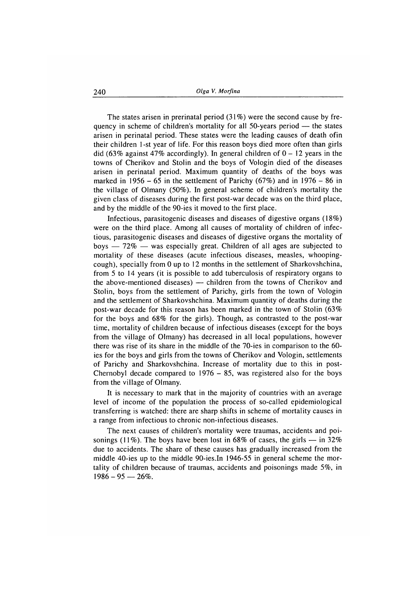The states arisen in prerinatal period  $(31\%)$  were the second cause by frequency in scheme of children's mortality for all 50-years period — the states arisen in perinatal period. These states were the leading causes of death ofin their children 1-st year of life. For this reason boys died more often than girls did (63% against 47% accordingly). In general children of  $0 - 12$  years in the towns of Cherikov and Stolin and the boys of Vologin died of the diseases arisen in perinatal period. Maximum quantity of deaths of the boys was marked in 1956 – 65 in the settlement of Parichy (67%) and in 1976 – 86 in the village of Olmany (50%). In general scheme of children's mortality the given class of diseases during the first post-war decade was on the third place, and by the middle of the 90-ies it moved to the first place.

Infectious, parasitogenic diseases and diseases of digestive organs (18%) were on the third place. Among all causes of mortality of children of infectious, parasitogenic diseases and diseases of digestive organs the mortality of boys — 72% — was especially great. Children of all ages are subjected to mortality of these diseases (acute infectious diseases, measles, whoopingcough), specially from 0 up to 12 months in the settlement of Sharkovshchina, from 5 to 14 years (it is possible to add tuberculosis of respiratory organs to the above-mentioned diseases) — children from the towns of Cherikov and Stolin, boys from the settlement of Parichy, girls from the town of Vologin and the settlement of Sharkovshchina. Maximum quantity of deaths during the post-war decade for this reason has been marked in the town of Stolin (63% for the boys and 68% for the girls). Though, as contrasted to the post-war time, mortality of children because of infectious diseases (except for the boys from the village of Olmany) has decreased in all local populations, however there was rise of its share in the middle of the 70-ies in comparison to the 60ies for the boys and girls from the towns of Cherikov and Vologin, settlements of Parichy and Sharkovshchina. Increase of mortality due to this in post-Chernobyl decade compared to  $1976 - 85$ , was registered also for the boys from the village of Olmany.

It is necessary to mark that in the majority of countries with an average level of income of the population the process of so-called epidemiological transferring is watched: there are sharp shifts in scheme of mortality causes in a range from infectious to chronic non-infectious diseases.

The next causes of children's mortality were traumas, accidents and poisonings (11%). The boys have been lost in 68% of cases, the girls  $-$  in 32% due to accidents. The share of these causes has gradually increased from the middle 40-ies up to the middle 90-ies.In 1946-55 in general scheme the mortality of children because of traumas, accidents and poisonings made  $5\%$ , in  $1986 - 95 - 26\%$ .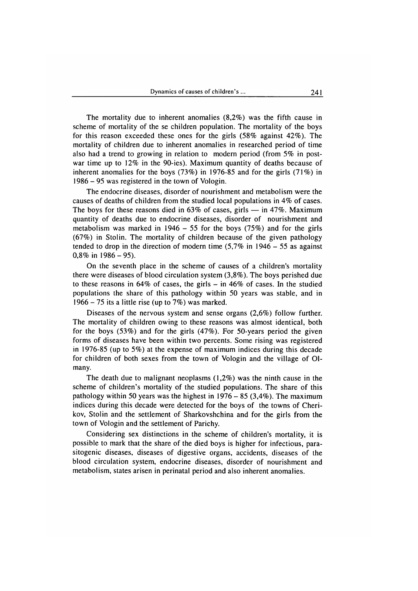The mortality due to inherent anomalies  $(8,2\%)$  was the fifth cause in scheme of mortality of the se children population. The mortality of the boys for this reason exceeded these ones for the girls  $(58\%$  against  $42\%$ ). The mortality of children due to inherent anomalies in researched period of time also had a trend to growing in relation to modern period (from 5% in postwar time up to  $12\%$  in the 90-ies). Maximum quantity of deaths because of inherent anomalies for the boys  $(73%)$  in 1976-85 and for the girls  $(71%)$  in 1986 - 95 was registered in the town of Vologin.

The endocrine diseases, disorder of nourishment and metabolism were the causes of deaths of children from the studied local populations in  $4\%$  of cases. The boys for these reasons died in  $63\%$  of cases, girls — in 47%. Maximum quantity of deaths due to endocrine diseases, disorder of nourishment and metabolism was marked in  $1946 - 55$  for the boys (75%) and for the girls  $(67%)$  in Stolin. The mortality of children because of the given pathology tended to drop in the direction of modern time  $(5,7\%$  in  $1946 - 55$  as against  $0,8\%$  in 1986 - 95).

On the seventh place in the scheme of causes of a children's mortality there were diseases of blood circulation system (3,8% ). The boys perished due to these reasons in  $64\%$  of cases, the girls – in  $46\%$  of cases. In the studied populations the share of this pathology within 50 years was stable, and in 1966 – 75 its a little rise (up to  $7\%$ ) was marked.

Diseases of the nervous system and sense organs  $(2,6\%)$  follow further. The mortality of children owing to these reasons was almost identical, both for the boys  $(53%)$  and for the girls  $(47%)$ . For 50-years period the given forms of diseases have been within two percents. Some rising was registered in 1976-85 (up to 5%) at the expense of maximum indices during this decade for children of both sexes from the town of Vologin and the village of Olmany.

The death due to malignant neoplasms  $(1,2\%)$  was the ninth cause in the scheme of children's mortality of the studied populations. The share of this pathology within 50 years was the highest in  $1976 - 85 (3,4%)$ . The maximum indices during this decade were detected for the boys of the towns of Cherikov, Stolin and the settlement of Sharkovshchina and for the girls from the town of Vologin and the settlement of Parichy.

Considering sex distinctions in the scheme of children's mortality, it is possible to mark that the share of the died boys is higher for infectious, parasitogenic diseases, diseases of digestive organs, accidents, diseases of the blood circulation system, endocrine diseases, disorder of nourishment and metabolism, states arisen in perinatal period and also inherent anomalies.